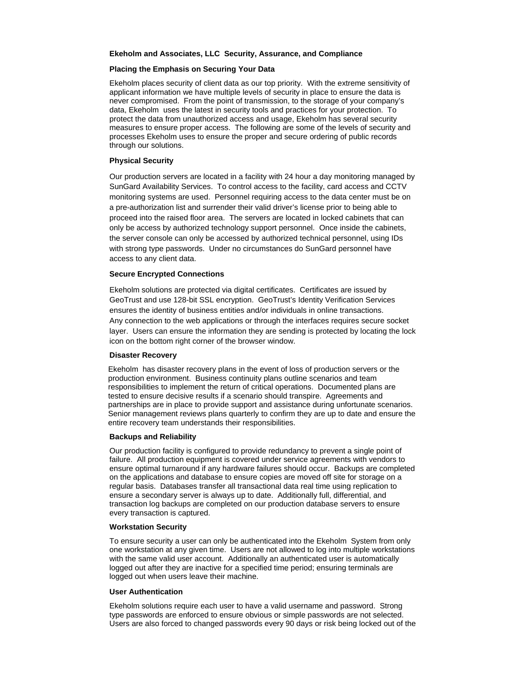### **Ekeholm and Associates, LLC Security, Assurance, and Compliance**

## **Placing the Emphasis on Securing Your Data**

Ekeholm places security of client data as our top priority. With the extreme sensitivity of applicant information we have multiple levels of security in place to ensure the data is never compromised. From the point of transmission, to the storage of your company's data, Ekeholm uses the latest in security tools and practices for your protection. To protect the data from unauthorized access and usage, Ekeholm has several security measures to ensure proper access. The following are some of the levels of security and processes Ekeholm uses to ensure the proper and secure ordering of public records through our solutions.

# **Physical Security**

Our production servers are located in a facility with 24 hour a day monitoring managed by SunGard Availability Services. To control access to the facility, card access and CCTV monitoring systems are used. Personnel requiring access to the data center must be on a pre-authorization list and surrender their valid driver's license prior to being able to proceed into the raised floor area. The servers are located in locked cabinets that can only be access by authorized technology support personnel. Once inside the cabinets, the server console can only be accessed by authorized technical personnel, using IDs with strong type passwords. Under no circumstances do SunGard personnel have access to any client data.

### **Secure Encrypted Connections**

Ekeholm solutions are protected via digital certificates. Certificates are issued by GeoTrust and use 128-bit SSL encryption. GeoTrust's Identity Verification Services ensures the identity of business entities and/or individuals in online transactions. Any connection to the web applications or through the interfaces requires secure socket layer. Users can ensure the information they are sending is protected by locating the lock icon on the bottom right corner of the browser window.

#### **Disaster Recovery**

Ekeholm has disaster recovery plans in the event of loss of production servers or the production environment. Business continuity plans outline scenarios and team responsibilities to implement the return of critical operations. Documented plans are tested to ensure decisive results if a scenario should transpire. Agreements and partnerships are in place to provide support and assistance during unfortunate scenarios. Senior management reviews plans quarterly to confirm they are up to date and ensure the entire recovery team understands their responsibilities.

#### **Backups and Reliability**

Our production facility is configured to provide redundancy to prevent a single point of failure. All production equipment is covered under service agreements with vendors to ensure optimal turnaround if any hardware failures should occur. Backups are completed on the applications and database to ensure copies are moved off site for storage on a regular basis. Databases transfer all transactional data real time using replication to ensure a secondary server is always up to date. Additionally full, differential, and transaction log backups are completed on our production database servers to ensure every transaction is captured.

### **Workstation Security**

To ensure security a user can only be authenticated into the Ekeholm System from only one workstation at any given time. Users are not allowed to log into multiple workstations with the same valid user account. Additionally an authenticated user is automatically logged out after they are inactive for a specified time period; ensuring terminals are logged out when users leave their machine.

# **User Authentication**

Ekeholm solutions require each user to have a valid username and password. Strong type passwords are enforced to ensure obvious or simple passwords are not selected. Users are also forced to changed passwords every 90 days or risk being locked out of the